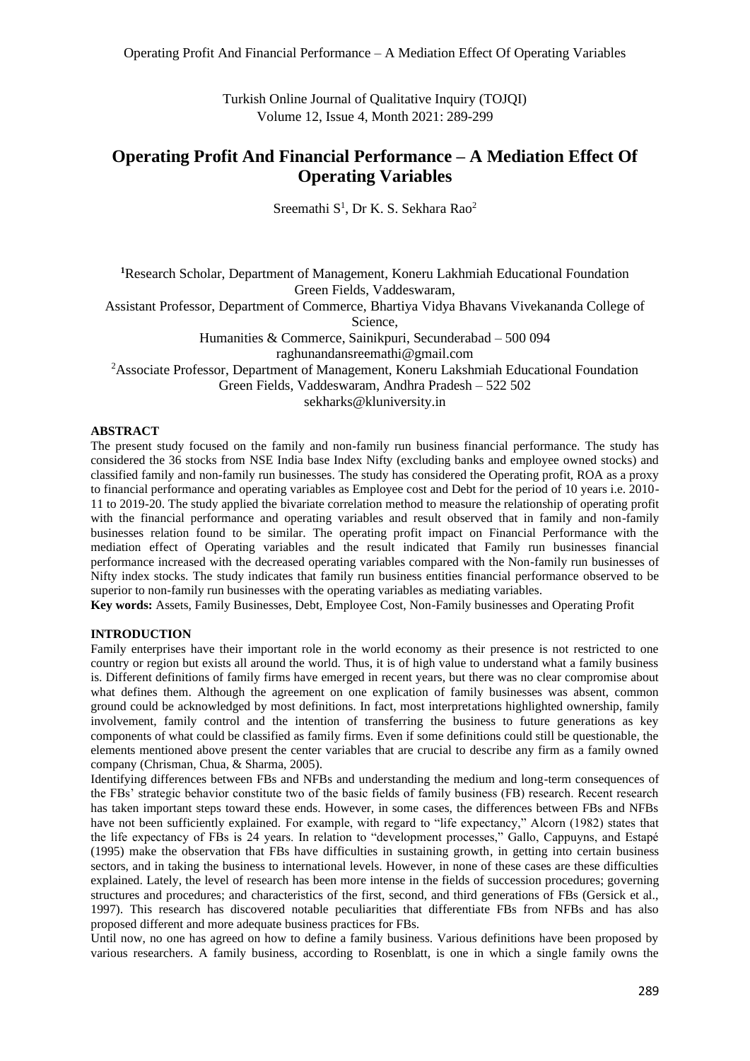Turkish Online Journal of Qualitative Inquiry (TOJQI) Volume 12, Issue 4, Month 2021: 289-299

# **Operating Profit And Financial Performance – A Mediation Effect Of Operating Variables**

Sreemathi  $S^1$ , Dr K. S. Sekhara Rao<sup>2</sup>

**<sup>1</sup>**Research Scholar, Department of Management, Koneru Lakhmiah Educational Foundation Green Fields, Vaddeswaram, Assistant Professor, Department of Commerce, Bhartiya Vidya Bhavans Vivekananda College of Science, Humanities & Commerce, Sainikpuri, Secunderabad – 500 094 [raghunandansreemathi@gmail.com](mailto:raghunandansreemathi@gmail.com) <sup>2</sup>Associate Professor, Department of Management, Koneru Lakshmiah Educational Foundation Green Fields, Vaddeswaram, Andhra Pradesh – 522 502 sekharks@kluniversity.in

### **ABSTRACT**

The present study focused on the family and non-family run business financial performance. The study has considered the 36 stocks from NSE India base Index Nifty (excluding banks and employee owned stocks) and classified family and non-family run businesses. The study has considered the Operating profit, ROA as a proxy to financial performance and operating variables as Employee cost and Debt for the period of 10 years i.e. 2010- 11 to 2019-20. The study applied the bivariate correlation method to measure the relationship of operating profit with the financial performance and operating variables and result observed that in family and non-family businesses relation found to be similar. The operating profit impact on Financial Performance with the mediation effect of Operating variables and the result indicated that Family run businesses financial performance increased with the decreased operating variables compared with the Non-family run businesses of Nifty index stocks. The study indicates that family run business entities financial performance observed to be superior to non-family run businesses with the operating variables as mediating variables.

**Key words:** Assets, Family Businesses, Debt, Employee Cost, Non-Family businesses and Operating Profit

### **INTRODUCTION**

Family enterprises have their important role in the world economy as their presence is not restricted to one country or region but exists all around the world. Thus, it is of high value to understand what a family business is. Different definitions of family firms have emerged in recent years, but there was no clear compromise about what defines them. Although the agreement on one explication of family businesses was absent, common ground could be acknowledged by most definitions. In fact, most interpretations highlighted ownership, family involvement, family control and the intention of transferring the business to future generations as key components of what could be classified as family firms. Even if some definitions could still be questionable, the elements mentioned above present the center variables that are crucial to describe any firm as a family owned company (Chrisman, Chua, & Sharma, 2005).

Identifying differences between FBs and NFBs and understanding the medium and long-term consequences of the FBs' strategic behavior constitute two of the basic fields of family business (FB) research. Recent research has taken important steps toward these ends. However, in some cases, the differences between FBs and NFBs have not been sufficiently explained. For example, with regard to "life expectancy," Alcorn (1982) states that the life expectancy of FBs is 24 years. In relation to "development processes," Gallo, Cappuyns, and Estapé (1995) make the observation that FBs have difficulties in sustaining growth, in getting into certain business sectors, and in taking the business to international levels. However, in none of these cases are these difficulties explained. Lately, the level of research has been more intense in the fields of succession procedures; governing structures and procedures; and characteristics of the first, second, and third generations of FBs (Gersick et al., 1997). This research has discovered notable peculiarities that differentiate FBs from NFBs and has also proposed different and more adequate business practices for FBs.

Until now, no one has agreed on how to define a family business. Various definitions have been proposed by various researchers. A family business, according to Rosenblatt, is one in which a single family owns the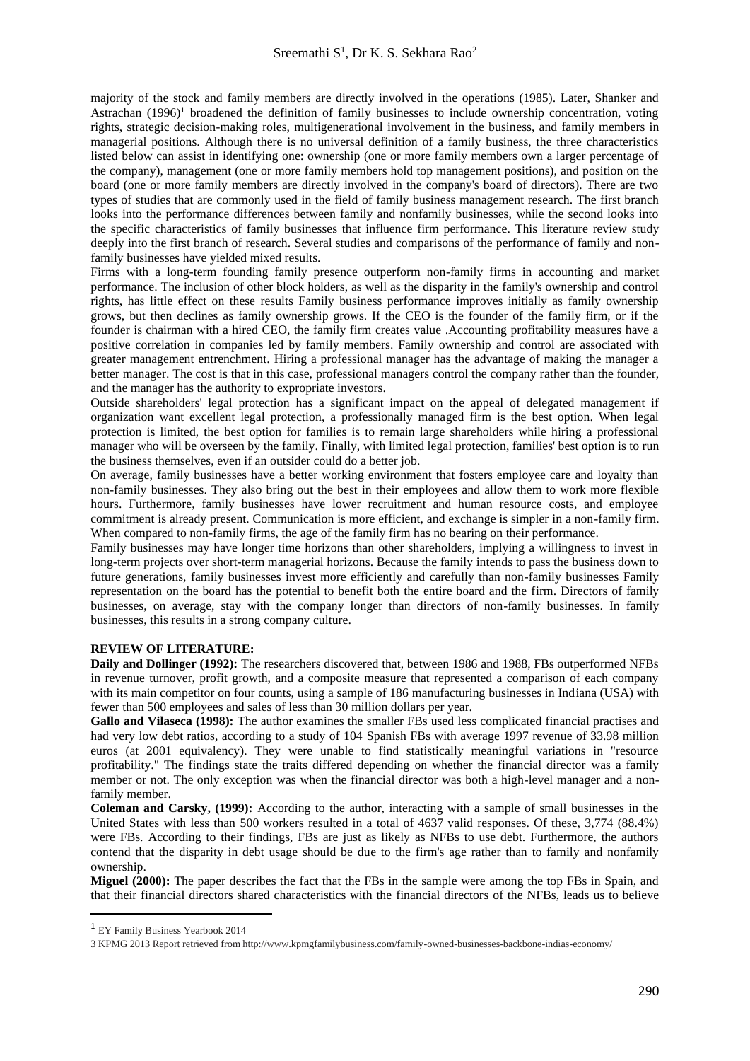majority of the stock and family members are directly involved in the operations (1985). Later, Shanker and Astrachan  $(1996)^1$  broadened the definition of family businesses to include ownership concentration, voting rights, strategic decision-making roles, multigenerational involvement in the business, and family members in managerial positions. Although there is no universal definition of a family business, the three characteristics listed below can assist in identifying one: ownership (one or more family members own a larger percentage of the company), management (one or more family members hold top management positions), and position on the board (one or more family members are directly involved in the company's board of directors). There are two types of studies that are commonly used in the field of family business management research. The first branch looks into the performance differences between family and nonfamily businesses, while the second looks into the specific characteristics of family businesses that influence firm performance. This literature review study deeply into the first branch of research. Several studies and comparisons of the performance of family and nonfamily businesses have yielded mixed results.

Firms with a long-term founding family presence outperform non-family firms in accounting and market performance. The inclusion of other block holders, as well as the disparity in the family's ownership and control rights, has little effect on these results Family business performance improves initially as family ownership grows, but then declines as family ownership grows. If the CEO is the founder of the family firm, or if the founder is chairman with a hired CEO, the family firm creates value .Accounting profitability measures have a positive correlation in companies led by family members. Family ownership and control are associated with greater management entrenchment. Hiring a professional manager has the advantage of making the manager a better manager. The cost is that in this case, professional managers control the company rather than the founder, and the manager has the authority to expropriate investors.

Outside shareholders' legal protection has a significant impact on the appeal of delegated management if organization want excellent legal protection, a professionally managed firm is the best option. When legal protection is limited, the best option for families is to remain large shareholders while hiring a professional manager who will be overseen by the family. Finally, with limited legal protection, families' best option is to run the business themselves, even if an outsider could do a better job.

On average, family businesses have a better working environment that fosters employee care and loyalty than non-family businesses. They also bring out the best in their employees and allow them to work more flexible hours. Furthermore, family businesses have lower recruitment and human resource costs, and employee commitment is already present. Communication is more efficient, and exchange is simpler in a non-family firm. When compared to non-family firms, the age of the family firm has no bearing on their performance.

Family businesses may have longer time horizons than other shareholders, implying a willingness to invest in long-term projects over short-term managerial horizons. Because the family intends to pass the business down to future generations, family businesses invest more efficiently and carefully than non-family businesses Family representation on the board has the potential to benefit both the entire board and the firm. Directors of family businesses, on average, stay with the company longer than directors of non-family businesses. In family businesses, this results in a strong company culture.

# **REVIEW OF LITERATURE:**

**Daily and Dollinger (1992):** The researchers discovered that, between 1986 and 1988, FBs outperformed NFBs in revenue turnover, profit growth, and a composite measure that represented a comparison of each company with its main competitor on four counts, using a sample of 186 manufacturing businesses in Indiana (USA) with fewer than 500 employees and sales of less than 30 million dollars per year.

**Gallo and Vilaseca (1998):** The author examines the smaller FBs used less complicated financial practises and had very low debt ratios, according to a study of 104 Spanish FBs with average 1997 revenue of 33.98 million euros (at 2001 equivalency). They were unable to find statistically meaningful variations in "resource profitability." The findings state the traits differed depending on whether the financial director was a family member or not. The only exception was when the financial director was both a high-level manager and a nonfamily member.

**Coleman and Carsky, (1999):** According to the author, interacting with a sample of small businesses in the United States with less than 500 workers resulted in a total of 4637 valid responses. Of these, 3,774 (88.4%) were FBs. According to their findings, FBs are just as likely as NFBs to use debt. Furthermore, the authors contend that the disparity in debt usage should be due to the firm's age rather than to family and nonfamily ownership.

**Miguel (2000):** The paper describes the fact that the FBs in the sample were among the top FBs in Spain, and that their financial directors shared characteristics with the financial directors of the NFBs, leads us to believe

<sup>1</sup> EY Family Business Yearbook 2014

<sup>3</sup> KPMG 2013 Report retrieved from http://www.kpmgfamilybusiness.com/family-owned-businesses-backbone-indias-economy/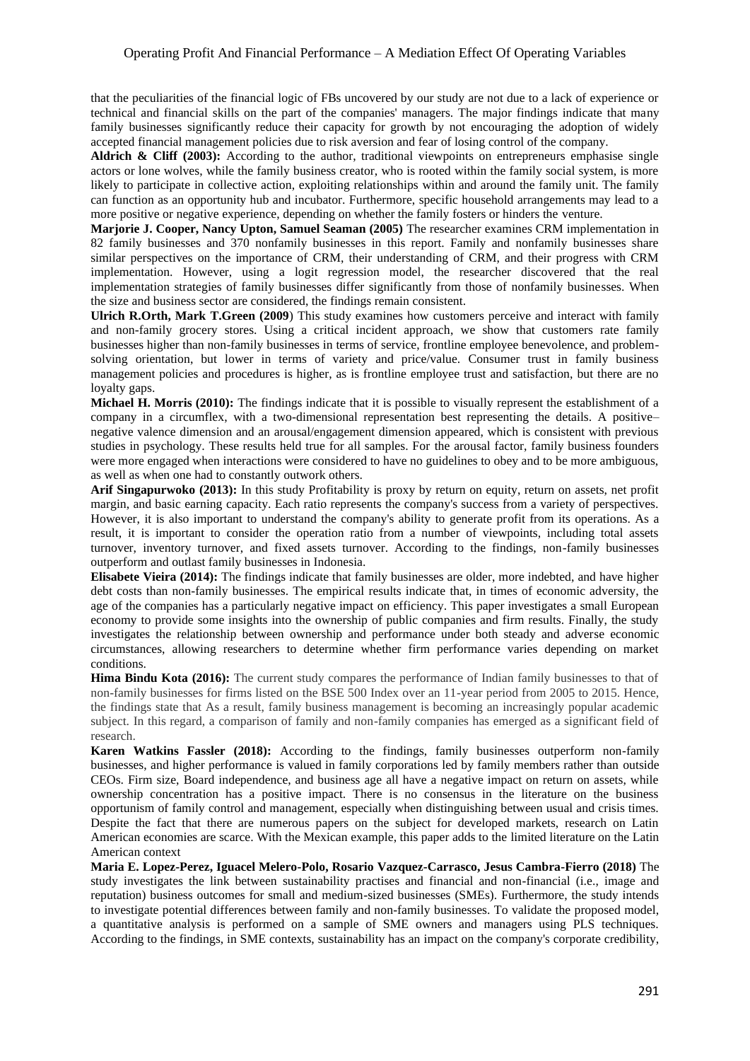# Operating Profit And Financial Performance – A Mediation Effect Of Operating Variables

that the peculiarities of the financial logic of FBs uncovered by our study are not due to a lack of experience or technical and financial skills on the part of the companies' managers. The major findings indicate that many family businesses significantly reduce their capacity for growth by not encouraging the adoption of widely accepted financial management policies due to risk aversion and fear of losing control of the company.

Aldrich & Cliff (2003): According to the author, traditional viewpoints on entrepreneurs emphasise single actors or lone wolves, while the family business creator, who is rooted within the family social system, is more likely to participate in collective action, exploiting relationships within and around the family unit. The family can function as an opportunity hub and incubator. Furthermore, specific household arrangements may lead to a more positive or negative experience, depending on whether the family fosters or hinders the venture.

**Marjorie J. Cooper, Nancy Upton, Samuel Seaman (2005)** The researcher examines CRM implementation in 82 family businesses and 370 nonfamily businesses in this report. Family and nonfamily businesses share similar perspectives on the importance of CRM, their understanding of CRM, and their progress with CRM implementation. However, using a logit regression model, the researcher discovered that the real implementation strategies of family businesses differ significantly from those of nonfamily businesses. When the size and business sector are considered, the findings remain consistent.

**Ulrich R.Orth, Mark T.Green (2009**) This study examines how customers perceive and interact with family and non-family grocery stores. Using a critical incident approach, we show that customers rate family businesses higher than non-family businesses in terms of service, frontline employee benevolence, and problemsolving orientation, but lower in terms of variety and price/value. Consumer trust in family business management policies and procedures is higher, as is frontline employee trust and satisfaction, but there are no loyalty gaps.

**Michael H. Morris (2010):** The findings indicate that it is possible to visually represent the establishment of a company in a circumflex, with a two-dimensional representation best representing the details. A positive– negative valence dimension and an arousal/engagement dimension appeared, which is consistent with previous studies in psychology. These results held true for all samples. For the arousal factor, family business founders were more engaged when interactions were considered to have no guidelines to obey and to be more ambiguous, as well as when one had to constantly outwork others.

**Arif Singapurwoko (2013):** In this study Profitability is proxy by return on equity, return on assets, net profit margin, and basic earning capacity. Each ratio represents the company's success from a variety of perspectives. However, it is also important to understand the company's ability to generate profit from its operations. As a result, it is important to consider the operation ratio from a number of viewpoints, including total assets turnover, inventory turnover, and fixed assets turnover. According to the findings, non-family businesses outperform and outlast family businesses in Indonesia.

**Elisabete Vieira (2014):** The findings indicate that family businesses are older, more indebted, and have higher debt costs than non-family businesses. The empirical results indicate that, in times of economic adversity, the age of the companies has a particularly negative impact on efficiency. This paper investigates a small European economy to provide some insights into the ownership of public companies and firm results. Finally, the study investigates the relationship between ownership and performance under both steady and adverse economic circumstances, allowing researchers to determine whether firm performance varies depending on market conditions.

**Hima Bindu Kota (2016):** The current study compares the performance of Indian family businesses to that of non-family businesses for firms listed on the BSE 500 Index over an 11-year period from 2005 to 2015. Hence, the findings state that As a result, family business management is becoming an increasingly popular academic subject. In this regard, a comparison of family and non-family companies has emerged as a significant field of research.

**Karen Watkins Fassler (2018):** According to the findings, family businesses outperform non-family businesses, and higher performance is valued in family corporations led by family members rather than outside CEOs. Firm size, Board independence, and business age all have a negative impact on return on assets, while ownership concentration has a positive impact. There is no consensus in the literature on the business opportunism of family control and management, especially when distinguishing between usual and crisis times. Despite the fact that there are numerous papers on the subject for developed markets, research on Latin American economies are scarce. With the Mexican example, this paper adds to the limited literature on the Latin American context

**Maria E. Lopez-Perez, Iguacel Melero-Polo, Rosario Vazquez-Carrasco, Jesus Cambra-Fierro (2018)** The study investigates the link between sustainability practises and financial and non-financial (i.e., image and reputation) business outcomes for small and medium-sized businesses (SMEs). Furthermore, the study intends to investigate potential differences between family and non-family businesses. To validate the proposed model, a quantitative analysis is performed on a sample of SME owners and managers using PLS techniques. According to the findings, in SME contexts, sustainability has an impact on the company's corporate credibility,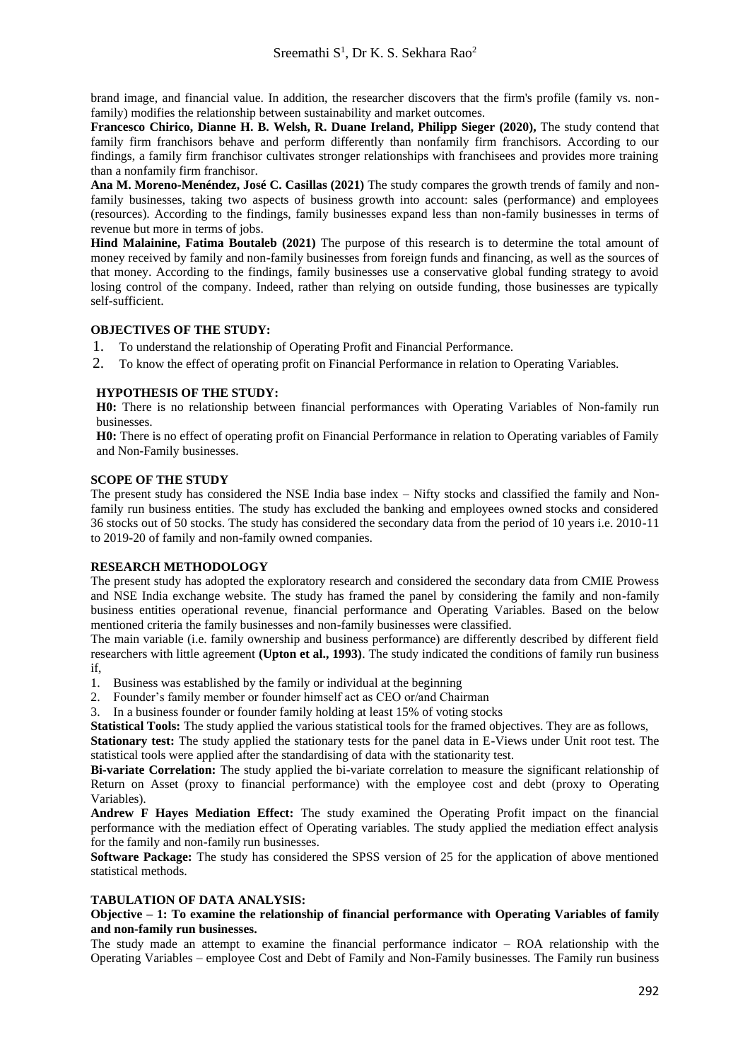brand image, and financial value. In addition, the researcher discovers that the firm's profile (family vs. nonfamily) modifies the relationship between sustainability and market outcomes.

**[Francesco Chirico,](https://onlinelibrary.wiley.com/action/doSearch?ContribAuthorStored=Chirico%2C+Francesco) [Dianne H. B. Welsh,](https://onlinelibrary.wiley.com/action/doSearch?ContribAuthorStored=Welsh%2C+Dianne+H+B) [R. Duane Ireland,](https://onlinelibrary.wiley.com/action/doSearch?ContribAuthorStored=Ireland%2C+R+Duane) [Philipp Sieger](https://onlinelibrary.wiley.com/action/doSearch?ContribAuthorStored=Sieger%2C+Philipp) (2020),** The study contend that family firm franchisors behave and perform differently than nonfamily firm franchisors. According to our findings, a family firm franchisor cultivates stronger relationships with franchisees and provides more training than a nonfamily firm franchisor.

**Ana M. Moreno-Menéndez, José C. Casillas (2021)** The study compares the growth trends of family and nonfamily businesses, taking two aspects of business growth into account: sales (performance) and employees (resources). According to the findings, family businesses expand less than non-family businesses in terms of revenue but more in terms of jobs.

**Hind Malainine, Fatima Boutaleb (2021)** The purpose of this research is to determine the total amount of money received by family and non-family businesses from foreign funds and financing, as well as the sources of that money. According to the findings, family businesses use a conservative global funding strategy to avoid losing control of the company. Indeed, rather than relying on outside funding, those businesses are typically self-sufficient.

# **OBJECTIVES OF THE STUDY:**

- 1. To understand the relationship of Operating Profit and Financial Performance.
- 2. To know the effect of operating profit on Financial Performance in relation to Operating Variables.

# **HYPOTHESIS OF THE STUDY:**

**H0:** There is no relationship between financial performances with Operating Variables of Non-family run businesses.

**H0:** There is no effect of operating profit on Financial Performance in relation to Operating variables of Family and Non-Family businesses.

#### **SCOPE OF THE STUDY**

The present study has considered the NSE India base index – Nifty stocks and classified the family and Nonfamily run business entities. The study has excluded the banking and employees owned stocks and considered 36 stocks out of 50 stocks. The study has considered the secondary data from the period of 10 years i.e. 2010-11 to 2019-20 of family and non-family owned companies.

# **RESEARCH METHODOLOGY**

The present study has adopted the exploratory research and considered the secondary data from CMIE Prowess and NSE India exchange website. The study has framed the panel by considering the family and non-family business entities operational revenue, financial performance and Operating Variables. Based on the below mentioned criteria the family businesses and non-family businesses were classified.

The main variable (i.e. family ownership and business performance) are differently described by different field researchers with little agreement **(Upton et al., 1993)**. The study indicated the conditions of family run business if,

- 1. Business was established by the family or individual at the beginning
- 2. Founder's family member or founder himself act as CEO or/and Chairman
- 3. In a business founder or founder family holding at least 15% of voting stocks

**Statistical Tools:** The study applied the various statistical tools for the framed objectives. They are as follows, **Stationary test:** The study applied the stationary tests for the panel data in E-Views under Unit root test. The statistical tools were applied after the standardising of data with the stationarity test.

**Bi-variate Correlation:** The study applied the bi-variate correlation to measure the significant relationship of Return on Asset (proxy to financial performance) with the employee cost and debt (proxy to Operating Variables).

**Andrew F Hayes Mediation Effect:** The study examined the Operating Profit impact on the financial performance with the mediation effect of Operating variables. The study applied the mediation effect analysis for the family and non-family run businesses.

**Software Package:** The study has considered the SPSS version of 25 for the application of above mentioned statistical methods.

#### **TABULATION OF DATA ANALYSIS:**

# **Objective – 1: To examine the relationship of financial performance with Operating Variables of family and non-family run businesses.**

The study made an attempt to examine the financial performance indicator – ROA relationship with the Operating Variables – employee Cost and Debt of Family and Non-Family businesses. The Family run business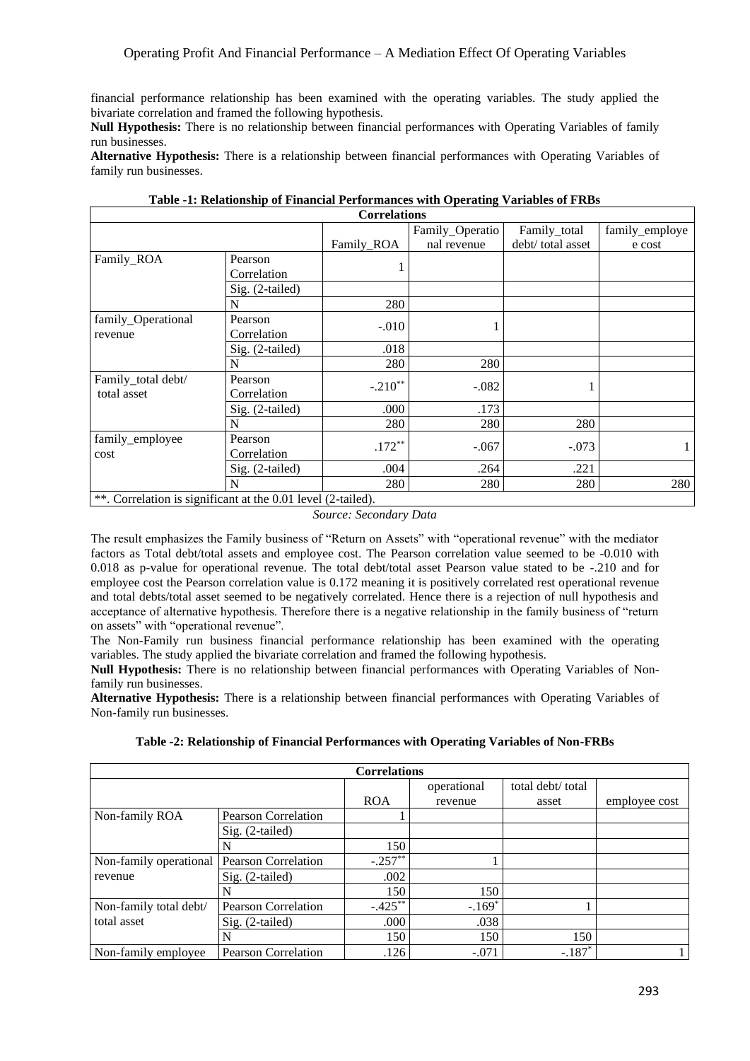financial performance relationship has been examined with the operating variables. The study applied the bivariate correlation and framed the following hypothesis.

**Null Hypothesis:** There is no relationship between financial performances with Operating Variables of family run businesses.

**Alternative Hypothesis:** There is a relationship between financial performances with Operating Variables of family run businesses.

| <b>Correlations</b>                                                                                    |                 |            |                 |                   |                |
|--------------------------------------------------------------------------------------------------------|-----------------|------------|-----------------|-------------------|----------------|
|                                                                                                        |                 |            | Family_Operatio | Family_total      | family_employe |
|                                                                                                        |                 | Family_ROA | nal revenue     | debt/ total asset | e cost         |
| Family_ROA                                                                                             | Pearson         |            |                 |                   |                |
|                                                                                                        | Correlation     |            |                 |                   |                |
|                                                                                                        | Sig. (2-tailed) |            |                 |                   |                |
|                                                                                                        | N               | 280        |                 |                   |                |
| family_Operational                                                                                     | Pearson         | $-.010$    |                 |                   |                |
| revenue                                                                                                | Correlation     |            |                 |                   |                |
|                                                                                                        | Sig. (2-tailed) | .018       |                 |                   |                |
|                                                                                                        | N               | 280        | 280             |                   |                |
| Family_total debt/                                                                                     | Pearson         | $-.210**$  | $-.082$         |                   |                |
| total asset                                                                                            | Correlation     |            |                 |                   |                |
|                                                                                                        | Sig. (2-tailed) | .000       | .173            |                   |                |
|                                                                                                        |                 | 280        | 280             | 280               |                |
| family_employee                                                                                        | Pearson         | $.172**$   | $-.067$         | $-.073$           |                |
| cost                                                                                                   | Correlation     |            |                 |                   |                |
|                                                                                                        | Sig. (2-tailed) | .004       | .264            | .221              |                |
|                                                                                                        |                 | 280        | 280             | 280               | 280            |
| $*$ $\alpha$ , and $\alpha$ is the set of $\alpha$ and $\alpha$ and $\alpha$ and $\alpha$ and $\alpha$ |                 |            |                 |                   |                |

**Table -1: Relationship of Financial Performances with Operating Variables of FRBs**

 $\mid$ \*\*. Correlation is significant at the 0.01 level (2-tailed).

*Source: Secondary Data*

The result emphasizes the Family business of "Return on Assets" with "operational revenue" with the mediator factors as Total debt/total assets and employee cost. The Pearson correlation value seemed to be -0.010 with 0.018 as p-value for operational revenue. The total debt/total asset Pearson value stated to be -.210 and for employee cost the Pearson correlation value is 0.172 meaning it is positively correlated rest operational revenue and total debts/total asset seemed to be negatively correlated. Hence there is a rejection of null hypothesis and acceptance of alternative hypothesis. Therefore there is a negative relationship in the family business of "return on assets" with "operational revenue".

The Non-Family run business financial performance relationship has been examined with the operating variables. The study applied the bivariate correlation and framed the following hypothesis.

**Null Hypothesis:** There is no relationship between financial performances with Operating Variables of Nonfamily run businesses.

**Alternative Hypothesis:** There is a relationship between financial performances with Operating Variables of Non-family run businesses.

|  | Table -2: Relationship of Financial Performances with Operating Variables of Non-FRBs |  |  |
|--|---------------------------------------------------------------------------------------|--|--|
|--|---------------------------------------------------------------------------------------|--|--|

| <b>Correlations</b>    |                            |            |             |                   |               |
|------------------------|----------------------------|------------|-------------|-------------------|---------------|
|                        |                            |            | operational | total debt/ total |               |
|                        |                            | <b>ROA</b> | revenue     | asset             | employee cost |
| Non-family ROA         | Pearson Correlation        |            |             |                   |               |
|                        | Sig. (2-tailed)            |            |             |                   |               |
|                        |                            | 150        |             |                   |               |
| Non-family operational | <b>Pearson Correlation</b> | $-.257**$  |             |                   |               |
| revenue                | Sig. (2-tailed)            | .002       |             |                   |               |
|                        |                            | 150        | 150         |                   |               |
| Non-family total debt/ | Pearson Correlation        | $-.425***$ | $-.169*$    |                   |               |
| total asset            | Sig. (2-tailed)            | .000       | .038        |                   |               |
|                        | N                          | 150        | 150         | 150               |               |
| Non-family employee    | <b>Pearson Correlation</b> | .126       | $-.071$     | $-.187*$          |               |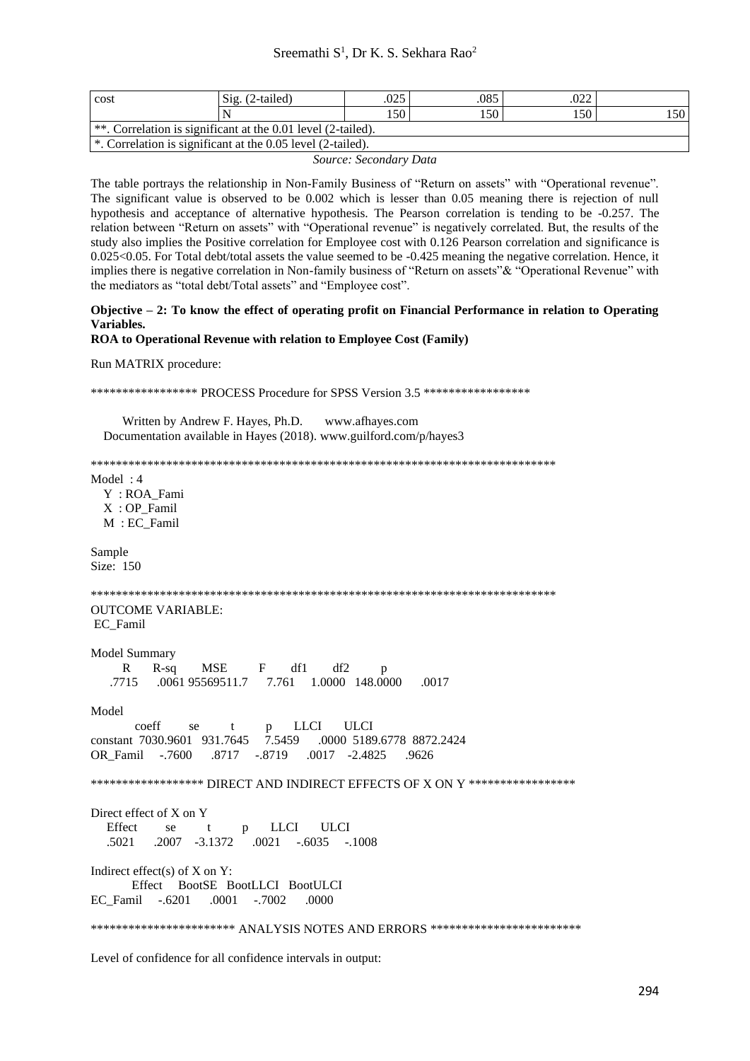| cost                                                             | Sig.<br>$(2-tailed)$ | .025 | .085 | nnn<br>.UZZ |     |
|------------------------------------------------------------------|----------------------|------|------|-------------|-----|
|                                                                  |                      | .50  | .50  | .50         | 150 |
| $ **$ . Correlation is significant at the 0.01 level (2-tailed). |                      |      |      |             |     |
| $*$ . Correlation is significant at the 0.05 level (2-tailed).   |                      |      |      |             |     |

Source: Secondary Data

The table portrays the relationship in Non-Family Business of "Return on assets" with "Operational revenue". The significant value is observed to be 0.002 which is lesser than 0.05 meaning there is rejection of null hypothesis and acceptance of alternative hypothesis. The Pearson correlation is tending to be -0.257. The relation between "Return on assets" with "Operational revenue" is negatively correlated. But, the results of the study also implies the Positive correlation for Employee cost with 0.126 Pearson correlation and significance is  $0.025<0.05$ . For Total debt/total assets the value seemed to be  $-0.425$  meaning the negative correlation. Hence, it implies there is negative correlation in Non-family business of "Return on assets" & "Operational Revenue" with the mediators as "total debt/Total assets" and "Employee cost".

# Objective - 2: To know the effect of operating profit on Financial Performance in relation to Operating Variables.

#### ROA to Operational Revenue with relation to Employee Cost (Family)

Run MATRIX procedure:

\*\*\*\*\*\*\*\*\*\*\*\*\*\*\*\*\*\* PROCESS Procedure for SPSS Version 3.5 \*\*\*\*\*\*\*\*\*\*\*\*\*\*\*\*\*\*

Written by Andrew F. Hayes, Ph.D. www.afhayes.com Documentation available in Hayes (2018). www.guilford.com/p/hayes3

Model:  $4$ 

Y: ROA Fami X: OP Famil M : EC Famil

Sample Size: 150

**OUTCOME VARIABLE:** EC Famil

Model Summary

**MSE**  $\mathbf{F}$  $df1$  $df2$  $\mathbf{R}$  $R-sq$  $\mathbf{D}$ 7.761 1.0000 148.0000 .7715 .0061 95569511.7 .0017

Model

coeff **LLCI ULCI** se  $\mathbf{f}$  $\mathbf{p}$ constant 7030.9601 931.7645 7.5459 .0000 5189.6778 8872.2424 .8717 -.8719  $.0017 -2.4825$ OR Famil  $-.7600$  $.9626$ 

\*\*\*\*\*\*\*\*\*\*\*\*\*\*\*\*\* DIRECT AND INDIRECT EFFECTS OF X ON Y \*\*\*\*\*\*\*\*\*\*\*\*\*\*\*\*\*\*

Direct effect of X on Y Effect **LLCI ULCI**  $se$  $\ddot{\mathbf{r}}$  $\mathbf{D}$ .5021  $.2007 -3.1372$ .0021 -.6035 -.1008

Indirect effect(s) of  $X$  on  $Y$ : Effect BootSE BootLLCI BootULCI  $.0001-.7002$ EC\_Famil -.6201 .0000

\*\*\*\*\*\*\*\*\*\*\*\*\*\*\*\*\*\*\*\*\*\*\*\* ANALYSIS NOTES AND ERRORS \*\*\*\*\*\*\*\*\*\*\*\*\*\*\*\*\*\*\*\*\*\*\*\*\*\*

Level of confidence for all confidence intervals in output: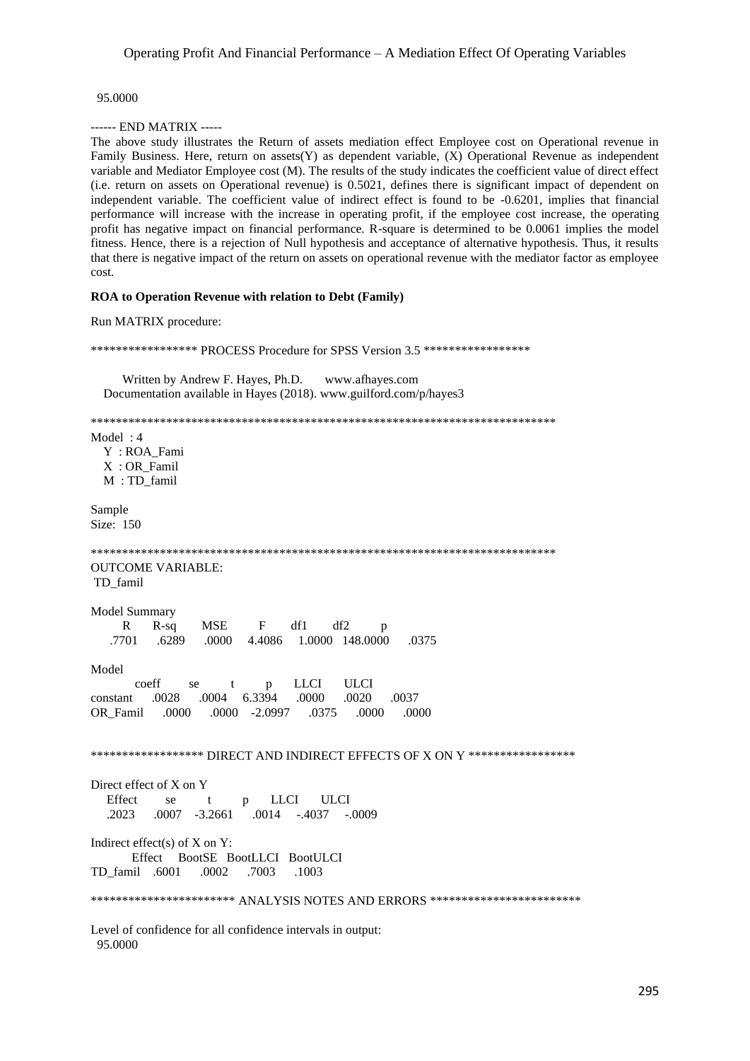95.0000

------ END MATRIX -----

The above study illustrates the Return of assets mediation effect Employee cost on Operational revenue in Family Business. Here, return on assets  $(Y)$  as dependent variable,  $(X)$  Operational Revenue as independent variable and Mediator Employee cost (M). The results of the study indicates the coefficient value of direct effect (i.e. return on assets on Operational revenue) is 0.5021, defines there is significant impact of dependent on independent variable. The coefficient value of indirect effect is found to be -0.6201, implies that financial performance will increase with the increase in operating profit, if the employee cost increase, the operating profit has negative impact on financial performance. R-square is determined to be 0.0061 implies the model fitness. Hence, there is a rejection of Null hypothesis and acceptance of alternative hypothesis. Thus, it results that there is negative impact of the return on assets on operational revenue with the mediator factor as employee cost.

### ROA to Operation Revenue with relation to Debt (Family)

Run MATRIX procedure:

\*\*\*\*\*\*\*\*\*\*\*\*\*\*\*\*\*\* PROCESS Procedure for SPSS Version 3.5 \*\*\*\*\*\*\*\*\*\*\*\*\*\*\*\*\*\* Written by Andrew F. Hayes, Ph.D. www.afhayes.com Documentation available in Hayes (2018). www.guilford.com/p/hayes3 Model:  $4$ Y: ROA\_Fami X: OR Famil  $M:TD$  famil Sample Size: 150 **OUTCOME VARIABLE:** TD\_famil Model Summary  $\mathbf R$  $R-sq$ **MSE**  $\mathbf{F}$ df1 df2  $\mathbf{D}$ .7701 .6289 4.4086 1.0000 148.0000 .0375 .0000 Model **ULCI** coeff **LLCI** se  $\mathbf{t}$  $\mathbf{p}$ .0004 6.3394  $.0020$ constant .0028  $.0000$ 0037 OR Famil .0000  $.0000 -2.0997$ .0375 .0000 .0000 \*\*\*\*\*\*\*\*\*\*\*\*\*\*\*\*\*\* DIRECT AND INDIRECT EFFECTS OF X ON Y \*\*\*\*\*\*\*\*\*\*\*\*\*\*\*\*\*\* Direct effect of X on Y Effect **LLCI ULCI**  $se$  $\ddot{\phantom{1}}$  $\, {\bf p}$ .2023  $.0007 -3.2661$ .0014 -.4037 -.0009 Indirect effect(s) of  $X$  on  $Y$ : Effect BootSE BootLLCI BootULCI TD\_famil .6001 .0002 .7003 .1003 \*\*\*\*\*\*\*\*\*\*\*\*\*\*\*\*\*\*\*\*\*\*\*\* ANALYSIS NOTES AND ERRORS \*\*\*\*\*\*\*\*\*\*\*\*\*\*\*\*\*\*\*\*\*\*\*\*\*\* Level of confidence for all confidence intervals in output: 95.0000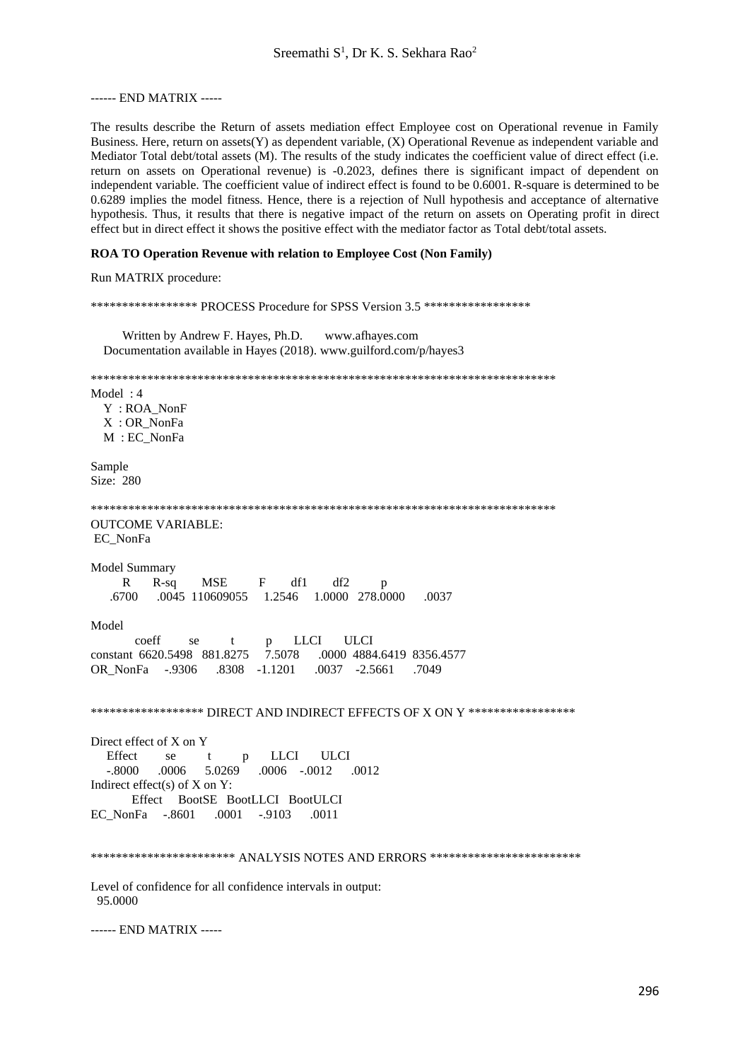------ END MATRIX -----

The results describe the Return of assets mediation effect Employee cost on Operational revenue in Family Business. Here, return on assets (Y) as dependent variable, (X) Operational Revenue as independent variable and Mediator Total debt/total assets (M). The results of the study indicates the coefficient value of direct effect (i.e. return on assets on Operational revenue) is -0.2023, defines there is significant impact of dependent on independent variable. The coefficient value of indirect effect is found to be 0.6001. R-square is determined to be 0.6289 implies the model fitness. Hence, there is a rejection of Null hypothesis and acceptance of alternative hypothesis. Thus, it results that there is negative impact of the return on assets on Operating profit in direct effect but in direct effect it shows the positive effect with the mediator factor as Total debt/total assets.

### ROA TO Operation Revenue with relation to Employee Cost (Non Family)

Run MATRIX procedure:

\*\*\*\*\*\*\*\*\*\*\*\*\*\*\*\*\*\* PROCESS Procedure for SPSS Version 3.5 \*\*\*\*\*\*\*\*\*\*\*\*\*\*\*\*\*\* Written by Andrew F. Hayes, Ph.D. www.afhayes.com Documentation available in Hayes (2018). www.guilford.com/p/hayes3 Model:  $4$ Y: ROA\_NonF X: OR NonFa  $M$  : EC NonFa Sample Size: 280 **OUTCOME VARIABLE:** EC\_NonFa **Model Summary**  $\mathbf R$  $R-sq$ **MSE**  $\mathbf{F}$ df1 df2 .6700 1.2546 1.0000 278.0000 .0037 .0045 110609055 Model **LLCI ULCI** coeff se  $\ddagger$  $\mathbf{p}$ constant 6620.5498 881.8275 7.5078 .0000 4884.6419 8356.4577 OR NonFa -.9306 .8308 -1.1201  $.0037 - 2.5661$ .7049 \*\*\*\*\*\*\*\*\*\*\*\*\*\*\*\*\*\* DIRECT AND INDIRECT EFFECTS OF X ON Y \*\*\*\*\*\*\*\*\*\*\*\*\*\*\*\*\*\* Direct effect of X on Y Effect **LLCI ULCI**  $se$  $\ddagger$ p  $-.8000$  $.0006$ 5.0269  $.0006$   $-.0012$   $.0012$ Indirect effect(s) of  $X$  on  $Y$ : Effect BootSE BootLLCI BootULCI  $.0001 - .9103$ EC NonFa -. 8601  $.0011$ \*\*\*\*\*\*\*\*\*\*\*\*\*\*\*\*\*\*\*\*\*\*\* ANALYSIS NOTES AND ERRORS \*\*\*\*\*\*\*\*\*\*\*\*\*\*\*\*\*\*\*\*\*\*\*\*\* Level of confidence for all confidence intervals in output: 95.0000

------ END MATRIX -----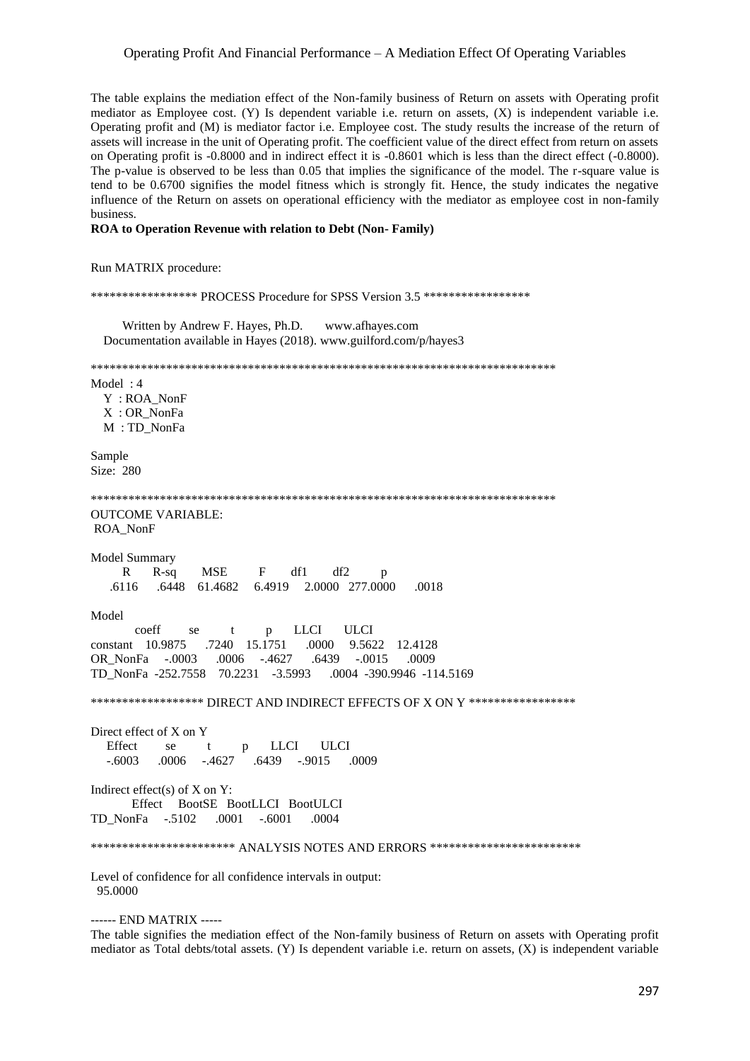# Operating Profit And Financial Performance – A Mediation Effect Of Operating Variables

The table explains the mediation effect of the Non-family business of Return on assets with Operating profit mediator as Employee cost.  $(Y)$  Is dependent variable i.e. return on assets,  $(X)$  is independent variable i.e. Operating profit and (M) is mediator factor i.e. Employee cost. The study results the increase of the return of assets will increase in the unit of Operating profit. The coefficient value of the direct effect from return on assets on Operating profit is -0.8000 and in indirect effect it is -0.8601 which is less than the direct effect (-0.8000). The p-value is observed to be less than 0.05 that implies the significance of the model. The r-square value is tend to be 0.6700 signifies the model fitness which is strongly fit. Hence, the study indicates the negative influence of the Return on assets on operational efficiency with the mediator as employee cost in non-family business.

# ROA to Operation Revenue with relation to Debt (Non-Family)

Run MATRIX procedure:

\*\*\*\*\*\*\*\*\*\*\*\*\*\*\*\*\*\* PROCESS Procedure for SPSS Version 3.5 \*\*\*\*\*\*\*\*\*\*\*\*\*\*\*\*\* Written by Andrew F. Haves, Ph.D. www.afhaves.com Documentation available in Hayes (2018). www.guilford.com/p/hayes3 Model: 4 Y: ROA\_NonF X: OR NonFa M: TD NonFa Sample Size: 280 **OUTCOME VARIABLE:** ROA\_NonF Model Summary  $R-sq$ **MSE**  $\mathbf F$ df1 df2  $\mathbf{R}$ 6.4919 2.0000 277.0000 .6116 .6448 61.4682 .0018 Model coeff **LLCI ULCI** se  $\ddagger$  $\mathbf{p}$ .7240 15.1751  $constant$  10.9875 .0000 9.5622 12.4128 .0006 -.4627 .6439 OR NonFa -.0003  $-.0015$ - 0009 TD NonFa -252.7558 70.2231 -3.5993 .0004 -390.9946 -114.5169 \*\*\*\*\*\*\*\*\*\*\*\*\*\*\*\*\* DIRECT AND INDIRECT EFFECTS OF X ON Y \*\*\*\*\*\*\*\*\*\*\*\*\*\*\*\*\*\* Direct effect of X on Y Effect **LLCI** se **IILCI**  $\mathbf{f}$  $\mathbf{p}$  $-.6003$ .0006 -.4627 .6439 -.9015 .0009 Indirect effect(s) of  $X$  on  $Y$ : Effect BootSE BootLLCI BootULCI  $TD_NonFa$  -.5102  $.0001-.6001$ .0004 \*\*\*\*\*\*\*\*\*\*\*\*\*\*\*\*\*\*\*\*\*\*\* ANALYSIS NOTES AND ERRORS \*\*\*\*\*\*\*\*\*\*\*\*\*\*\*\*\*\*\*\*\*\*\*\*\* Level of confidence for all confidence intervals in output: 95.0000

------ END MATRIX -----

The table signifies the mediation effect of the Non-family business of Return on assets with Operating profit mediator as Total debts/total assets. (Y) Is dependent variable i.e. return on assets, (X) is independent variable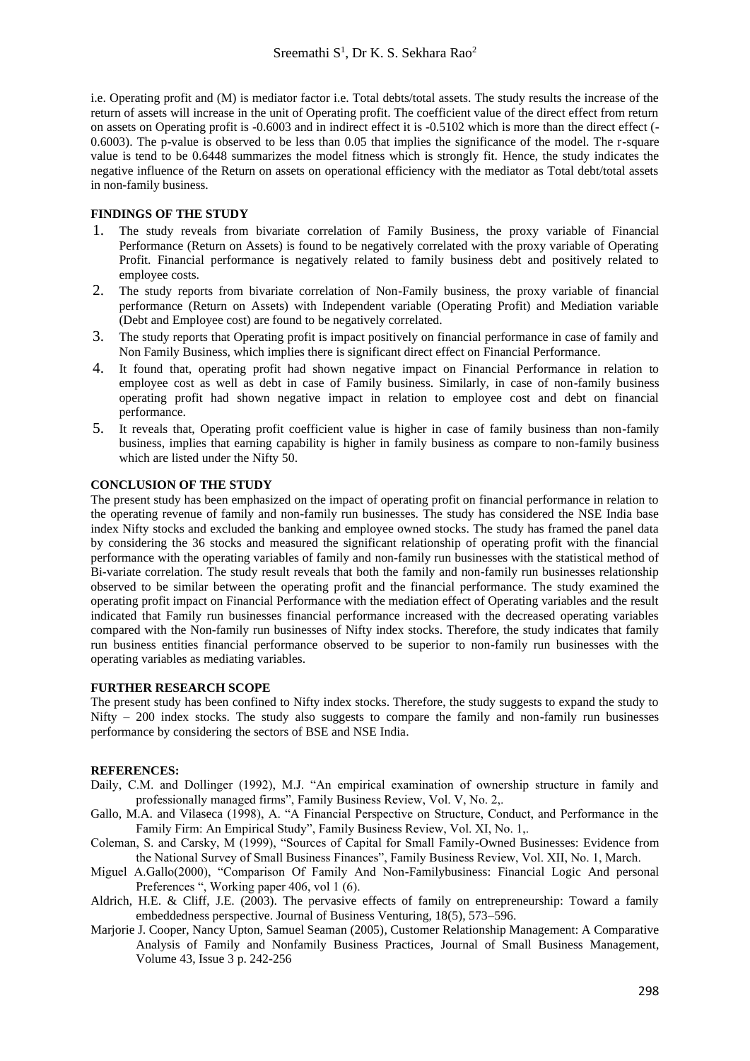i.e. Operating profit and (M) is mediator factor i.e. Total debts/total assets. The study results the increase of the return of assets will increase in the unit of Operating profit. The coefficient value of the direct effect from return on assets on Operating profit is -0.6003 and in indirect effect it is -0.5102 which is more than the direct effect (- 0.6003). The p-value is observed to be less than 0.05 that implies the significance of the model. The r-square value is tend to be 0.6448 summarizes the model fitness which is strongly fit. Hence, the study indicates the negative influence of the Return on assets on operational efficiency with the mediator as Total debt/total assets in non-family business.

# **FINDINGS OF THE STUDY**

- 1. The study reveals from bivariate correlation of Family Business, the proxy variable of Financial Performance (Return on Assets) is found to be negatively correlated with the proxy variable of Operating Profit. Financial performance is negatively related to family business debt and positively related to employee costs.
- 2. The study reports from bivariate correlation of Non-Family business, the proxy variable of financial performance (Return on Assets) with Independent variable (Operating Profit) and Mediation variable (Debt and Employee cost) are found to be negatively correlated.
- 3. The study reports that Operating profit is impact positively on financial performance in case of family and Non Family Business, which implies there is significant direct effect on Financial Performance.
- 4. It found that, operating profit had shown negative impact on Financial Performance in relation to employee cost as well as debt in case of Family business. Similarly, in case of non-family business operating profit had shown negative impact in relation to employee cost and debt on financial performance.
- 5. It reveals that, Operating profit coefficient value is higher in case of family business than non-family business, implies that earning capability is higher in family business as compare to non-family business which are listed under the Nifty 50.

### **CONCLUSION OF THE STUDY**

The present study has been emphasized on the impact of operating profit on financial performance in relation to the operating revenue of family and non-family run businesses. The study has considered the NSE India base index Nifty stocks and excluded the banking and employee owned stocks. The study has framed the panel data by considering the 36 stocks and measured the significant relationship of operating profit with the financial performance with the operating variables of family and non-family run businesses with the statistical method of Bi-variate correlation. The study result reveals that both the family and non-family run businesses relationship observed to be similar between the operating profit and the financial performance. The study examined the operating profit impact on Financial Performance with the mediation effect of Operating variables and the result indicated that Family run businesses financial performance increased with the decreased operating variables compared with the Non-family run businesses of Nifty index stocks. Therefore, the study indicates that family run business entities financial performance observed to be superior to non-family run businesses with the operating variables as mediating variables.

### **FURTHER RESEARCH SCOPE**

The present study has been confined to Nifty index stocks. Therefore, the study suggests to expand the study to Nifty – 200 index stocks. The study also suggests to compare the family and non-family run businesses performance by considering the sectors of BSE and NSE India.

#### **REFERENCES:**

- Daily, C.M. and Dollinger (1992), M.J. "An empirical examination of ownership structure in family and professionally managed firms", Family Business Review, Vol. V, No. 2,.
- Gallo, M.A. and Vilaseca (1998), A. "A Financial Perspective on Structure, Conduct, and Performance in the Family Firm: An Empirical Study", Family Business Review, Vol. XI, No. 1,.
- Coleman, S. and Carsky, M (1999), "Sources of Capital for Small Family-Owned Businesses: Evidence from the National Survey of Small Business Finances", Family Business Review, Vol. XII, No. 1, March.
- Miguel A.Gallo(2000), "Comparison Of Family And Non-Familybusiness: Financial Logic And personal Preferences ", Working paper 406, vol 1 (6).
- Aldrich, H.E. & Cliff, J.E. (2003). The pervasive effects of family on entrepreneurship: Toward a family embeddedness perspective. Journal of Business Venturing, 18(5), 573–596.
- Marjorie J. Cooper, Nancy Upton, Samuel Seaman (2005), Customer Relationship Management: A Comparative Analysis of Family and Nonfamily Business Practices, [Journal of Small Business Management,](https://onlinelibrary.wiley.com/journal/1540627x) [Volume 43, Issue 3](https://onlinelibrary.wiley.com/toc/1540627x/2005/43/3) p. 242-256